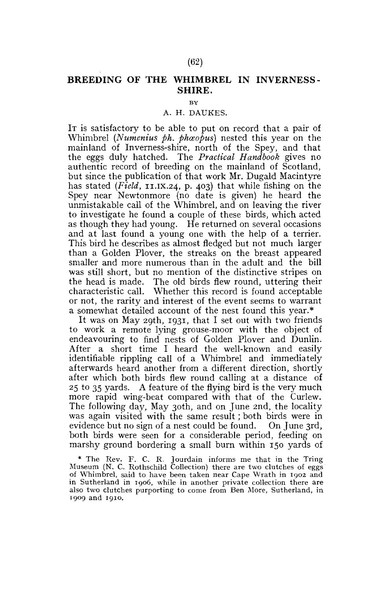## **BREEDING OF THE WHIMBREL IN INVERNESS - SHIRE.**

BY

## A. H. DAUKES.

IT is satisfactory to be able to put on record that a pair of Whimbrel (Numenius ph. phosopus) nested this year on the mainland of Inverness-shire, north of the Spey, and that the eggs duly hatched. The *Practical Handbook* gives no authentic record of breeding on the mainland of Scotland, but since the publication of that work Mr. Dugald Macintyre has stated (Field, 11.1X.24, p. 403) that while fishing on the Spey near Newtonmore (no date is given) he heard the unmistakable call of the Whimbrel, and on leaving the river to investigate he found a couple of these birds, which acted as though they had young. He returned on several occasions and at last found a young one with the help of a terrier. This bird he describes as almost fledged but not much larger than a Golden Plover, the streaks on the breast appeared smaller and more numerous than in the adult and the bill was still short, but no mention of the distinctive stripes on the head is made. The old birds flew round, uttering their characteristic call. Whether this record is found acceptable or not, the rarity and interest of the event seems to warrant a somewhat detailed account of the nest found this year.\*

It was on May 29th, 1931, that I set out with two friends to work a remote lying grouse-moor with the object of endeavouring to find nests of Golden Plover and Dunlin. After a short time I heard the well-known and easily identifiable rippling call of a Whimbrel and immediately afterwards heard another from a different direction, shortly after which both birds flew round calling at a distance of 2 5 to 35 yards. A feature of the flying bird is the very much more rapid wing-beat compared with that of the Curlew. The following day, May 30th, and on June 2nd, the locality was again visited with the same result; both birds were in evidence but no sign of a nest could be found. On June 3rd, both birds were seen for a considerable period, feeding on marshy ground bordering a small burn within 150 yards of

\* The Rev. F. C. R. Jourdain informs me that in the Tring Museum (N. C. Rothschild Collection) there are two clutches of eggs of Whimbrel, said to have been taken near Cape Wrath in 1902 and in Sutherland in 1906, while in another private collection there are also two clutches purporting to come from Ben More, Sutherland, in 1909 and 1910.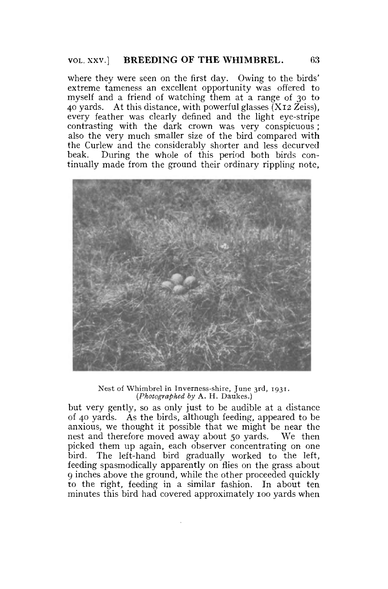where they were seen on the first day. Owing to the birds' extreme tameness an excellent opportunity was offered to myself and a friend of watching them at a range of 30 to 40 yards. At this distance, with powerful glasses  $(X_{12} \text{Zeiss})$ . every feather was clearly defined and the light eye-stripe contrasting with the dark crown was very conspicuous ; also the very much smaller size of the bird compared with the Curlew and the considerably shorter and less decurved beak. During the whole of this period both birds continually made from the ground their ordinary rippling note,



Nest of Whimbrel in Inverness-shire, June 3rd, 1931. *(Photographed by* A. H. Daukes.)

but very gently, so as only just to be audible at a distance of 40 yards. As the birds, although feeding, appeared to be anxious, we thought it possible that we might be near the nest and therefore moved away about 50 yards. We then picked them up again, each observer concentrating on one bird. The left-hand bird gradually worked to the left, feeding spasmodically apparently on flies on the grass about 9 inches above the ground, while the other proceeded quickly to the right, feeding in a similar fashion. In about ten minutes this bird had covered approximately 100 yards when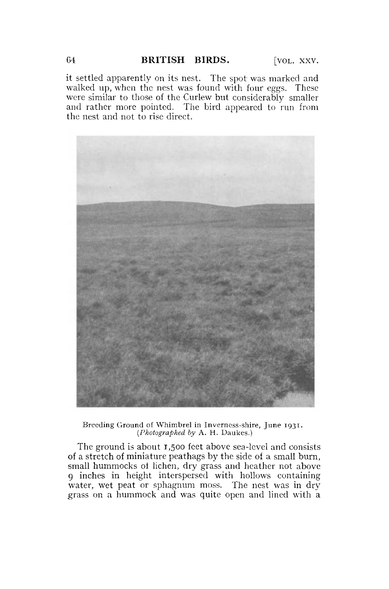it settled apparently on its nest. The spot was marked and walked up, when the nest was found with four eggs. These were similar to those of the Curlew but considerably smaller and rather more pointed. The bird appeared to run from the nest and not to rise direct.



Breeding Ground of Whimbrel in Inverness-shire, June 1931. *(Photographed by* A. H. Daukes.)

The ground is about 1,500 feet above sea-level and consists of a stretch of miniature peathags by the side of a small burn, small hummocks of lichen, dry grass and heather not above 9 inches in height interspersed with hollows containing water, wet peat or sphagnum moss. The nest was in dry grass on a hummock and was quite open and lined with a